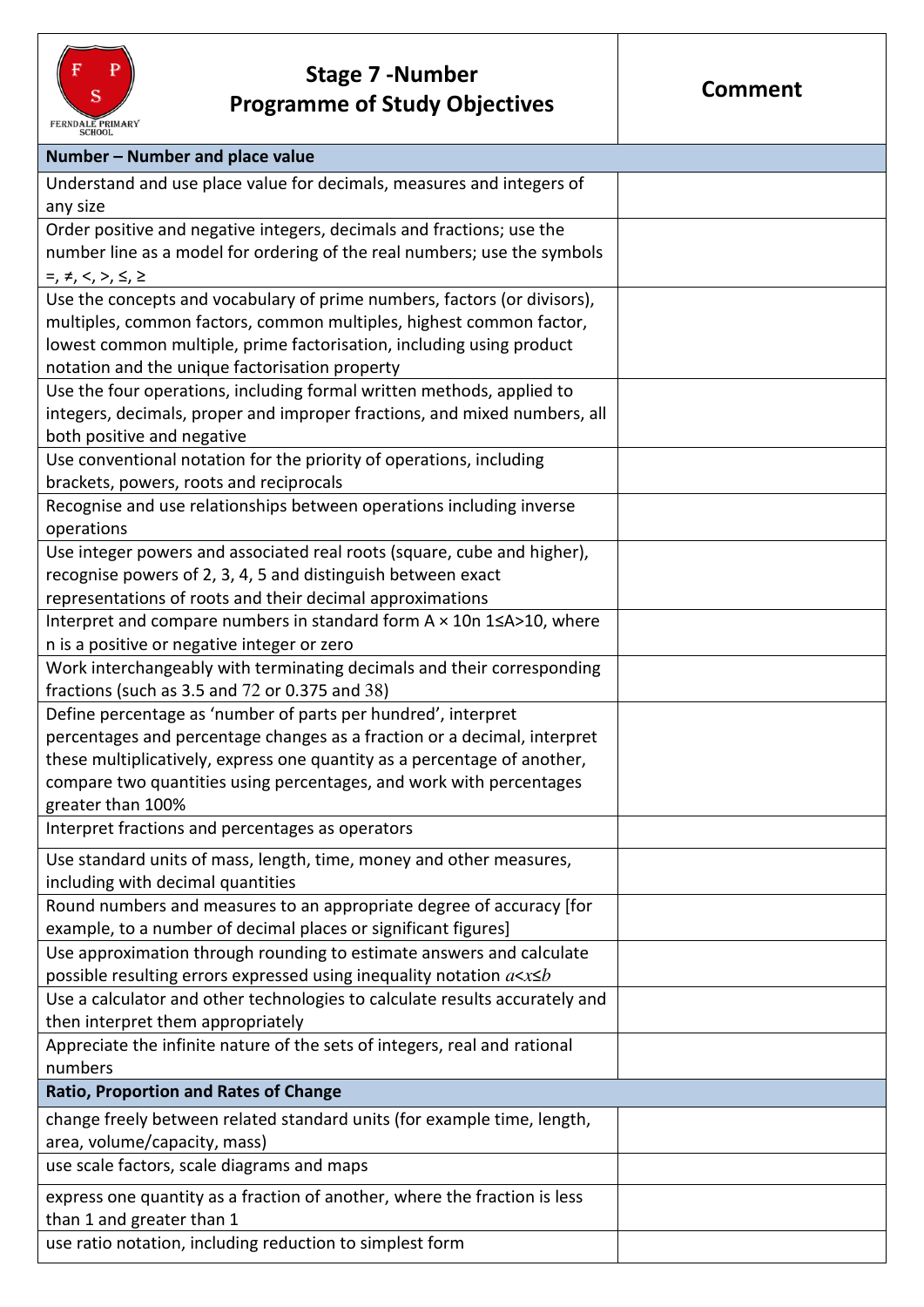

## **Stage 7 - Number Programme of Study Objectives**

**Comment** 

| Number - Number and place value                                                      |
|--------------------------------------------------------------------------------------|
| Understand and use place value for decimals, measures and integers of                |
| any size                                                                             |
| Order positive and negative integers, decimals and fractions; use the                |
| number line as a model for ordering of the real numbers; use the symbols             |
| $=$ , $\neq$ , $\lt$ , $\gt$ , $\leq$ , $\geq$                                       |
| Use the concepts and vocabulary of prime numbers, factors (or divisors),             |
| multiples, common factors, common multiples, highest common factor,                  |
| lowest common multiple, prime factorisation, including using product                 |
| notation and the unique factorisation property                                       |
| Use the four operations, including formal written methods, applied to                |
| integers, decimals, proper and improper fractions, and mixed numbers, all            |
| both positive and negative                                                           |
| Use conventional notation for the priority of operations, including                  |
| brackets, powers, roots and reciprocals                                              |
| Recognise and use relationships between operations including inverse                 |
| operations                                                                           |
| Use integer powers and associated real roots (square, cube and higher),              |
| recognise powers of 2, 3, 4, 5 and distinguish between exact                         |
| representations of roots and their decimal approximations                            |
| Interpret and compare numbers in standard form $A \times 10n$ 1 $\leq A$ > 10, where |
| n is a positive or negative integer or zero                                          |
| Work interchangeably with terminating decimals and their corresponding               |
| fractions (such as 3.5 and $72$ or 0.375 and 38)                                     |
| Define percentage as 'number of parts per hundred', interpret                        |
| percentages and percentage changes as a fraction or a decimal, interpret             |
| these multiplicatively, express one quantity as a percentage of another,             |
| compare two quantities using percentages, and work with percentages                  |
| greater than 100%                                                                    |
| Interpret fractions and percentages as operators                                     |
| Use standard units of mass, length, time, money and other measures,                  |
| including with decimal quantities                                                    |
| Round numbers and measures to an appropriate degree of accuracy [for                 |
| example, to a number of decimal places or significant figures]                       |
| Use approximation through rounding to estimate answers and calculate                 |
| possible resulting errors expressed using inequality notation $a < x \le b$          |
| Use a calculator and other technologies to calculate results accurately and          |
| then interpret them appropriately                                                    |
| Appreciate the infinite nature of the sets of integers, real and rational            |
| numbers                                                                              |
| <b>Ratio, Proportion and Rates of Change</b>                                         |
| change freely between related standard units (for example time, length,              |
| area, volume/capacity, mass)                                                         |
| use scale factors, scale diagrams and maps                                           |
| express one quantity as a fraction of another, where the fraction is less            |
| than 1 and greater than 1                                                            |
|                                                                                      |